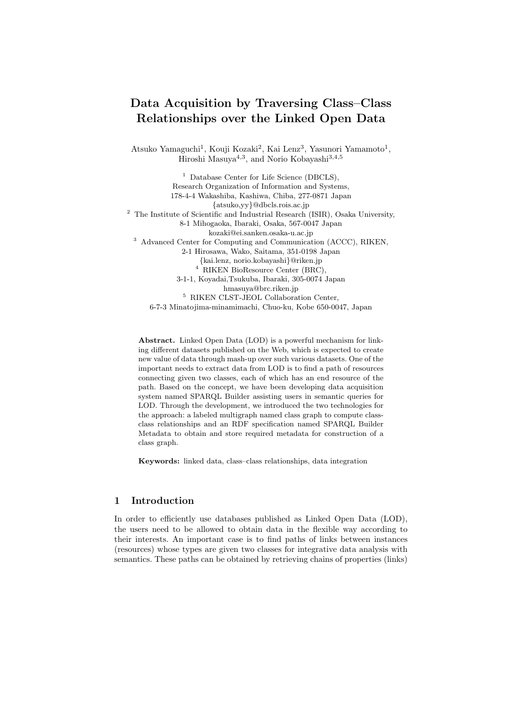# Data Acquisition by Traversing Class–Class Relationships over the Linked Open Data

Atsuko Yamaguchi<sup>1</sup>, Kouji Kozaki<sup>2</sup>, Kai Lenz<sup>3</sup>, Yasunori Yamamoto<sup>1</sup>, Hiroshi Masuya<sup>4,3</sup>, and Norio Kobayashi<sup>3,4,5</sup>

<sup>1</sup> Database Center for Life Science (DBCLS), Research Organization of Information and Systems, 178-4-4 Wakashiba, Kashiwa, Chiba, 277-0871 Japan {atsuko,yy}@dbcls.rois.ac.jp <sup>2</sup> The Institute of Scientific and Industrial Research (ISIR), Osaka University, 8-1 Mihogaoka, Ibaraki, Osaka, 567-0047 Japan kozaki@ei.sanken.osaka-u.ac.jp <sup>3</sup> Advanced Center for Computing and Communication (ACCC), RIKEN, 2-1 Hirosawa, Wako, Saitama, 351-0198 Japan {kai.lenz, norio.kobayashi}@riken.jp <sup>4</sup> RIKEN BioResource Center (BRC), 3-1-1, Koyadai,Tsukuba, Ibaraki, 305-0074 Japan hmasuya@brc.riken.jp <sup>5</sup> RIKEN CLST-JEOL Collaboration Center, 6-7-3 Minatojima-minamimachi, Chuo-ku, Kobe 650-0047, Japan

Abstract. Linked Open Data (LOD) is a powerful mechanism for linking different datasets published on the Web, which is expected to create new value of data through mash-up over such various datasets. One of the important needs to extract data from LOD is to find a path of resources connecting given two classes, each of which has an end resource of the path. Based on the concept, we have been developing data acquisition system named SPARQL Builder assisting users in semantic queries for LOD. Through the development, we introduced the two technologies for the approach: a labeled multigraph named class graph to compute classclass relationships and an RDF specification named SPARQL Builder Metadata to obtain and store required metadata for construction of a class graph.

Keywords: linked data, class–class relationships, data integration

#### 1 Introduction

In order to efficiently use databases published as Linked Open Data (LOD), the users need to be allowed to obtain data in the flexible way according to their interests. An important case is to find paths of links between instances (resources) whose types are given two classes for integrative data analysis with semantics. These paths can be obtained by retrieving chains of properties (links)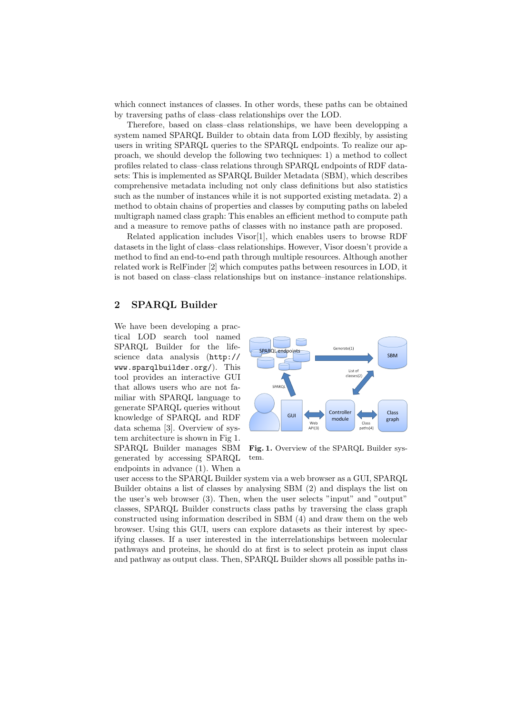which connect instances of classes. In other words, these paths can be obtained by traversing paths of class–class relationships over the LOD.

Therefore, based on class–class relationships, we have been developping a system named SPARQL Builder to obtain data from LOD flexibly, by assisting users in writing SPARQL queries to the SPARQL endpoints. To realize our approach, we should develop the following two techniques: 1) a method to collect profiles related to class–class relations through SPARQL endpoints of RDF datasets: This is implemented as SPARQL Builder Metadata (SBM), which describes comprehensive metadata including not only class definitions but also statistics such as the number of instances while it is not supported existing metadata. 2) a method to obtain chains of properties and classes by computing paths on labeled multigraph named class graph: This enables an efficient method to compute path and a measure to remove paths of classes with no instance path are proposed.

Related application includes Visor[1], which enables users to browse RDF datasets in the light of class–class relationships. However, Visor doesn't provide a method to find an end-to-end path through multiple resources. Although another related work is RelFinder [2] which computes paths between resources in LOD, it is not based on class–class relationships but on instance–instance relationships.

#### 2 SPARQL Builder

We have been developing a practical LOD search tool named SPARQL Builder for the lifescience data analysis (http:// www.sparqlbuilder.org/). This tool provides an interactive GUI that allows users who are not familiar with SPARQL language to generate SPARQL queries without knowledge of SPARQL and RDF data schema [3]. Overview of system architecture is shown in Fig 1. SPARQL Builder manages SBM generated by accessing SPARQL endpoints in advance (1). When a



Fig. 1. Overview of the SPARQL Builder system.

user access to the SPARQL Builder system via a web browser as a GUI, SPARQL Builder obtains a list of classes by analysing SBM (2) and displays the list on the user's web browser (3). Then, when the user selects "input" and "output" classes, SPARQL Builder constructs class paths by traversing the class graph constructed using information described in SBM (4) and draw them on the web browser. Using this GUI, users can explore datasets as their interest by specifying classes. If a user interested in the interrelationships between molecular pathways and proteins, he should do at first is to select protein as input class and pathway as output class. Then, SPARQL Builder shows all possible paths in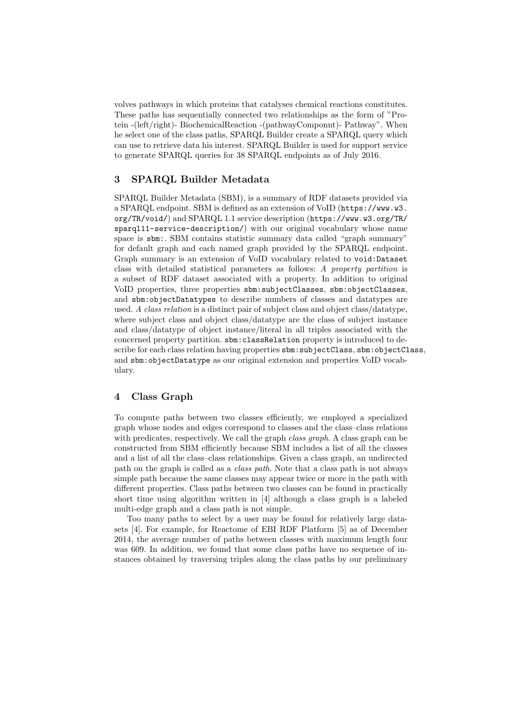volves pathways in which proteins that catalyses chemical reactions constitutes. These paths has sequentially connected two relationships as the form of "Protein -(left/right)- BiochemicalReaction -(pathwayComponnt)- Pathway". When he select one of the class paths, SPARQL Builder create a SPARQL query which can use to retrieve data his interest. SPARQL Builder is used for support service to generate SPARQL queries for 38 SPARQL endpoints as of July 2016.

## 3 SPARQL Builder Metadata

SPARQL Builder Metadata (SBM), is a summary of RDF datasets provided via a SPARQL endpoint. SBM is defined as an extension of VoID (https://www.w3. org/TR/void/) and SPARQL 1.1 service description (https://www.w3.org/TR/ sparql11-service-description/) with our original vocabulary whose name space is sbm:. SBM contains statistic summary data called "graph summary" for default graph and each named graph provided by the SPARQL endpoint. Graph summary is an extension of VoID vocabulary related to void:Dataset class with detailed statistical parameters as follows: A property partition is a subset of RDF dataset associated with a property. In addition to original VoID properties, three properties sbm:subjectClasses, sbm:objectClasses, and sbm:objectDatatypes to describe numbers of classes and datatypes are used. A class relation is a distinct pair of subject class and object class/datatype, where subject class and object class/datatype are the class of subject instance and class/datatype of object instance/literal in all triples associated with the concerned property partition. sbm:classRelation property is introduced to describe for each class relation having properties  $sbm:subjectClass, sbm:objectClass,$ and sbm:objectDatatype as our original extension and properties VoID vocabulary.

## 4 Class Graph

To compute paths between two classes efficiently, we employed a specialized graph whose nodes and edges correspond to classes and the class–class relations with predicates, respectively. We call the graph *class graph*. A class graph can be constructed from SBM efficiently because SBM includes a list of all the classes and a list of all the class–class relationships. Given a class graph, an undirected path on the graph is called as a class path. Note that a class path is not always simple path because the same classes may appear twice or more in the path with different properties. Class paths between two classes can be found in practically short time using algorithm written in [4] although a class graph is a labeled multi-edge graph and a class path is not simple.

Too many paths to select by a user may be found for relatively large datasets [4]. For example, for Reactome of EBI RDF Platform [5] as of December 2014, the average number of paths between classes with maximum length four was 609. In addition, we found that some class paths have no sequence of instances obtained by traversing triples along the class paths by our preliminary